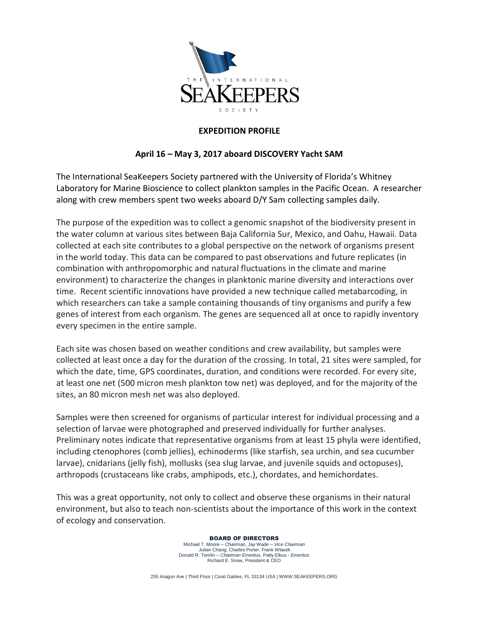

## **EXPEDITION PROFILE**

## **April 16 – May 3, 2017 aboard DISCOVERY Yacht SAM**

The International SeaKeepers Society partnered with the University of Florida's Whitney Laboratory for Marine Bioscience to collect plankton samples in the Pacific Ocean. A researcher along with crew members spent two weeks aboard D/Y Sam collecting samples daily.

The purpose of the expedition was to collect a genomic snapshot of the biodiversity present in the water column at various sites between Baja California Sur, Mexico, and Oahu, Hawaii. Data collected at each site contributes to a global perspective on the network of organisms present in the world today. This data can be compared to past observations and future replicates (in combination with anthropomorphic and natural fluctuations in the climate and marine environment) to characterize the changes in planktonic marine diversity and interactions over time. Recent scientific innovations have provided a new technique called metabarcoding, in which researchers can take a sample containing thousands of tiny organisms and purify a few genes of interest from each organism. The genes are sequenced all at once to rapidly inventory every specimen in the entire sample.

Each site was chosen based on weather conditions and crew availability, but samples were collected at least once a day for the duration of the crossing. In total, 21 sites were sampled, for which the date, time, GPS coordinates, duration, and conditions were recorded. For every site, at least one net (500 micron mesh plankton tow net) was deployed, and for the majority of the sites, an 80 micron mesh net was also deployed.

Samples were then screened for organisms of particular interest for individual processing and a selection of larvae were photographed and preserved individually for further analyses. Preliminary notes indicate that representative organisms from at least 15 phyla were identified, including ctenophores (comb jellies), echinoderms (like starfish, sea urchin, and sea cucumber larvae), cnidarians (jelly fish), mollusks (sea slug larvae, and juvenile squids and octopuses), arthropods (crustaceans like crabs, amphipods, etc.), chordates, and hemichordates.

This was a great opportunity, not only to collect and observe these organisms in their natural environment, but also to teach non-scientists about the importance of this work in the context of ecology and conservation.

> BOARD OF DIRECTORS Michael T. Moore – *Chairman*, Jay Wade – *Vice Chairman* Julian Chang, Charles Porter, Frank Wlasek Donald R. Tomlin – *Chairman Emeritus,* Patty Elkus - *Emeritus* Richard E. Snow, President & CEO